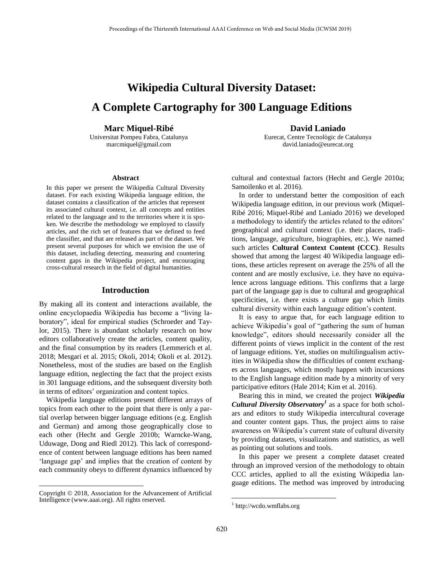# **Wikipedia Cultural Diversity Dataset: A Complete Cartography for 300 Language Editions**

## **Marc Miquel-Ribé**

Universitat Pompeu Fabra, Catalunya marcmiquel@gmail.com

#### **Abstract**

In this paper we present the Wikipedia Cultural Diversity dataset. For each existing Wikipedia language edition, the dataset contains a classification of the articles that represent its associated cultural context, i.e. all concepts and entities related to the language and to the territories where it is spoken. We describe the methodology we employed to classify articles, and the rich set of features that we defined to feed the classifier, and that are released as part of the dataset. We present several purposes for which we envision the use of this dataset, including detecting, measuring and countering content gaps in the Wikipedia project, and encouraging cross-cultural research in the field of digital humanities.

#### **Introduction**

By making all its content and interactions available, the online encyclopaedia Wikipedia has become a "living laboratory", ideal for empirical studies (Schroeder and Taylor, 2015). There is abundant scholarly research on how editors collaboratively create the articles, content quality, and the final consumption by its readers (Lemmerich et al. 2018; Mesgari et al. 2015; Okoli, 2014; Okoli et al. 2012). Nonetheless, most of the studies are based on the English language edition, neglecting the fact that the project exists in 301 language editions, and the subsequent diversity both in terms of editors' organization and content topics.

Wikipedia language editions present different arrays of topics from each other to the point that there is only a partial overlap between bigger language editions (e.g. English and German) and among those geographically close to each other (Hecht and Gergle 2010b; Warncke-Wang, Uduwage, Dong and Riedl 2012). This lack of correspondence of content between language editions has been named 'language gap' and implies that the creation of content by each community obeys to different dynamics influenced by

 $\overline{a}$ 

**David Laniado**

Eurecat, Centre Tecnològic de Catalunya david.laniado@eurecat.org

cultural and contextual factors (Hecht and Gergle 2010a; Samoilenko et al. 2016).

In order to understand better the composition of each Wikipedia language edition, in our previous work (Miquel-Ribé 2016; Miquel-Ribé and Laniado 2016) we developed a methodology to identify the articles related to the editors' geographical and cultural context (i.e. their places, traditions, language, agriculture, biographies, etc.). We named such articles **Cultural Context Content (CCC)**. Results showed that among the largest 40 Wikipedia language editions, these articles represent on average the 25% of all the content and are mostly exclusive, i.e. they have no equivalence across language editions. This confirms that a large part of the language gap is due to cultural and geographical specificities, i.e. there exists a culture gap which limits cultural diversity within each language edition's content.

It is easy to argue that, for each language edition to achieve Wikipedia's goal of "gathering the sum of human knowledge", editors should necessarily consider all the different points of views implicit in the content of the rest of language editions. Yet, studies on multilingualism activities in Wikipedia show the difficulties of content exchanges across languages, which mostly happen with incursions to the English language edition made by a minority of very participative editors (Hale 2014; Kim et al. 2016).

Bearing this in mind, we created the project *Wikipedia Cultural Diversity Observatory<sup>1</sup>* as a space for both scholars and editors to study Wikipedia intercultural coverage and counter content gaps. Thus, the project aims to raise awareness on Wikipedia's current state of cultural diversity by providing datasets, visualizations and statistics, as well as pointing out solutions and tools.

In this paper we present a complete dataset created through an improved version of the methodology to obtain CCC articles, applied to all the existing Wikipedia language editions. The method was improved by introducing

Copyright © 2018, Association for the Advancement of Artificial Intelligence (www.aaai.org). All rights reserved.

<sup>1</sup> http://wcdo.wmflabs.org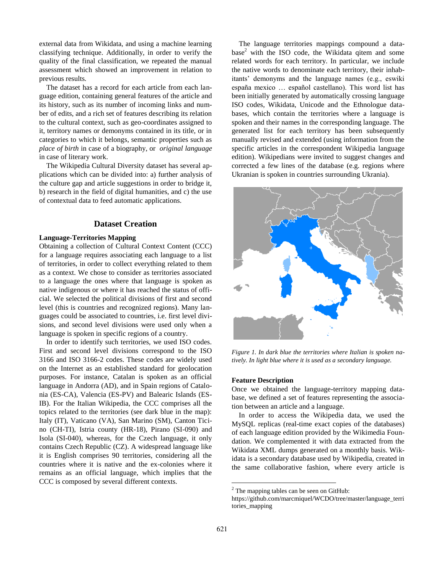external data from Wikidata, and using a machine learning classifying technique. Additionally, in order to verify the quality of the final classification, we repeated the manual assessment which showed an improvement in relation to previous results.

The dataset has a record for each article from each language edition, containing general features of the article and its history, such as its number of incoming links and number of edits, and a rich set of features describing its relation to the cultural context, such as geo-coordinates assigned to it, territory names or demonyms contained in its title, or in categories to which it belongs, semantic properties such as *place of birth* in case of a biography, or *original language* in case of literary work.

The Wikipedia Cultural Diversity dataset has several applications which can be divided into: a) further analysis of the culture gap and article suggestions in order to bridge it, b) research in the field of digital humanities, and c) the use of contextual data to feed automatic applications.

# **Dataset Creation**

## **Language-Territories Mapping**

Obtaining a collection of Cultural Context Content (CCC) for a language requires associating each language to a list of territories, in order to collect everything related to them as a context. We chose to consider as territories associated to a language the ones where that language is spoken as native indigenous or where it has reached the status of official. We selected the political divisions of first and second level (this is countries and recognized regions). Many languages could be associated to countries, i.e. first level divisions, and second level divisions were used only when a language is spoken in specific regions of a country.

In order to identify such territories, we used ISO codes. First and second level divisions correspond to the ISO 3166 and ISO 3166-2 codes. These codes are widely used on the Internet as an established standard for geolocation purposes. For instance, Catalan is spoken as an official language in Andorra (AD), and in Spain regions of Catalonia (ES-CA), Valencia (ES-PV) and Balearic Islands (ES-IB). For the Italian Wikipedia, the CCC comprises all the topics related to the territories (see dark blue in the map): Italy (IT), Vaticano (VA), San Marino (SM), Canton Ticino (CH-TI), Istria county (HR-18), Pirano (SI-090) and Isola (SI-040), whereas, for the Czech language, it only contains Czech Republic (CZ). A widespread language like it is English comprises 90 territories, considering all the countries where it is native and the ex-colonies where it remains as an official language, which implies that the CCC is composed by several different contexts.

The language territories mappings compound a data $base<sup>2</sup>$  with the ISO code, the Wikidata qitem and some related words for each territory. In particular, we include the native words to denominate each territory, their inhabitants' demonyms and the language names (e.g., eswiki españa mexico … español castellano). This word list has been initially generated by automatically crossing language ISO codes, Wikidata, Unicode and the Ethnologue databases, which contain the territories where a language is spoken and their names in the corresponding language. The generated list for each territory has been subsequently manually revised and extended (using information from the specific articles in the correspondent Wikipedia language edition). Wikipedians were invited to suggest changes and corrected a few lines of the database (e.g. regions where Ukranian is spoken in countries surrounding Ukrania).



*Figure 1. In dark blue the territories where Italian is spoken natively. In light blue where it is used as a secondary language.*

#### **Feature Description**

Once we obtained the language-territory mapping database, we defined a set of features representing the association between an article and a language.

In order to access the Wikipedia data, we used the MySQL replicas (real-time exact copies of the databases) of each language edition provided by the Wikimedia Foundation. We complemented it with data extracted from the Wikidata XML dumps generated on a monthly basis. Wikidata is a secondary database used by Wikipedia, created in the same collaborative fashion, where every article is

 $2$  The mapping tables can be seen on GitHub:

https://github.com/marcmiquel/WCDO/tree/master/language\_terri tories\_mapping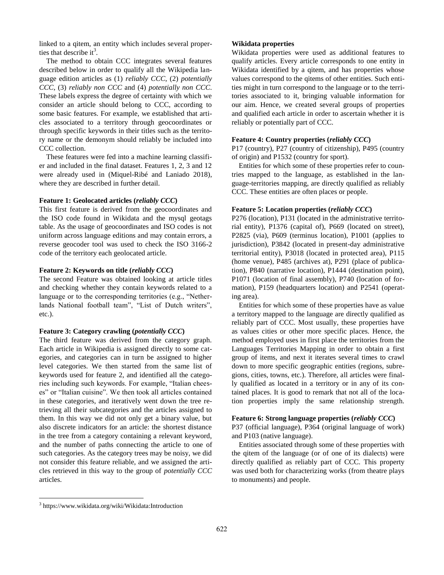linked to a qitem, an entity which includes several properties that describe it<sup>3</sup>.

The method to obtain CCC integrates several features described below in order to qualify all the Wikipedia language edition articles as (1) *reliably CCC*, (2) *potentially CCC*, (3) *reliably non CCC* and (4) *potentially non CCC*. These labels express the degree of certainty with which we consider an article should belong to CCC, according to some basic features. For example, we established that articles associated to a territory through geocoordinates or through specific keywords in their titles such as the territory name or the demonym should reliably be included into CCC collection.

These features were fed into a machine learning classifier and included in the final dataset. Features 1, 2, 3 and 12 were already used in (Miquel-Ribé and Laniado 2018), where they are described in further detail.

#### **Feature 1: Geolocated articles (***reliably CCC***)**

This first feature is derived from the geocoordinates and the ISO code found in Wikidata and the mysql geotags table. As the usage of geocoordinates and ISO codes is not uniform across language editions and may contain errors, a reverse geocoder tool was used to check the ISO 3166-2 code of the territory each geolocated article.

#### **Feature 2: Keywords on title (***reliably CCC***)**

The second Feature was obtained looking at article titles and checking whether they contain keywords related to a language or to the corresponding territories (e.g., "Netherlands National football team", "List of Dutch writers", etc.).

#### **Feature 3: Category crawling (***potentially CCC***)**

The third feature was derived from the category graph. Each article in Wikipedia is assigned directly to some categories, and categories can in turn be assigned to higher level categories. We then started from the same list of keywords used for feature 2, and identified all the categories including such keywords. For example, "Italian cheeses" or "Italian cuisine". We then took all articles contained in these categories, and iteratively went down the tree retrieving all their subcategories and the articles assigned to them. In this way we did not only get a binary value, but also discrete indicators for an article: the shortest distance in the tree from a category containing a relevant keyword, and the number of paths connecting the article to one of such categories. As the category trees may be noisy, we did not consider this feature reliable, and we assigned the articles retrieved in this way to the group of *potentially CCC* articles.

## **Wikidata properties**

Wikidata properties were used as additional features to qualify articles. Every article corresponds to one entity in Wikidata identified by a qitem, and has properties whose values correspond to the qitems of other entities. Such entities might in turn correspond to the language or to the territories associated to it, bringing valuable information for our aim. Hence, we created several groups of properties and qualified each article in order to ascertain whether it is reliably or potentially part of CCC.

#### **Feature 4: Country properties (***reliably CCC***)**

P17 (country), P27 (country of citizenship), P495 (country of origin) and P1532 (country for sport).

Entities for which some of these properties refer to countries mapped to the language, as established in the language-territories mapping, are directly qualified as reliably CCC. These entities are often places or people.

#### **Feature 5: Location properties (***reliably CCC***)**

P276 (location), P131 (located in the administrative territorial entity), P1376 (capital of), P669 (located on street), P2825 (via), P609 (terminus location), P1001 (applies to jurisdiction), P3842 (located in present-day administrative territorial entity), P3018 (located in protected area), P115 (home venue), P485 (archives at), P291 (place of publication), P840 (narrative location), P1444 (destination point), P1071 (location of final assembly), P740 (location of formation), P159 (headquarters location) and P2541 (operating area).

Entities for which some of these properties have as value a territory mapped to the language are directly qualified as reliably part of CCC. Most usually, these properties have as values cities or other more specific places. Hence, the method employed uses in first place the territories from the Languages Territories Mapping in order to obtain a first group of items, and next it iterates several times to crawl down to more specific geographic entities (regions, subregions, cities, towns, etc.). Therefore, all articles were finally qualified as located in a territory or in any of its contained places. It is good to remark that not all of the location properties imply the same relationship strength.

# **Feature 6: Strong language properties (***reliably CCC***)**

P37 (official language), P364 (original language of work) and P103 (native language).

Entities associated through some of these properties with the qitem of the language (or of one of its dialects) were directly qualified as reliably part of CCC. This property was used both for characterizing works (from theatre plays to monuments) and people.

<sup>3</sup> https://www.wikidata.org/wiki/Wikidata:Introduction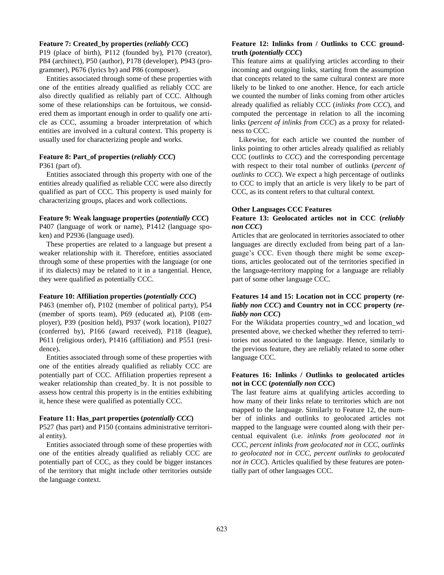#### **Feature 7: Created\_by properties (***reliably CCC***)**

P19 (place of birth), P112 (founded by), P170 (creator), P84 (architect), P50 (author), P178 (developer), P943 (programmer), P676 (lyrics by) and P86 (composer).

Entities associated through some of these properties with one of the entities already qualified as reliably CCC are also directly qualified as reliably part of CCC. Although some of these relationships can be fortuitous, we considered them as important enough in order to qualify one article as CCC, assuming a broader interpretation of which entities are involved in a cultural context. This property is usually used for characterizing people and works.

#### **Feature 8: Part\_of properties (***reliably CCC***)**

P361 (part of).

Entities associated through this property with one of the entities already qualified as reliable CCC were also directly qualified as part of CCC. This property is used mainly for characterizing groups, places and work collections.

#### **Feature 9: Weak language properties (***potentially CCC***)**

P407 (language of work or name), P1412 (language spoken) and P2936 (language used).

These properties are related to a language but present a weaker relationship with it. Therefore, entities associated through some of these properties with the language (or one if its dialects) may be related to it in a tangential. Hence, they were qualified as potentially CCC.

#### **Feature 10: Affiliation properties (***potentially CCC***)**

P463 (member of), P102 (member of political party), P54 (member of sports team), P69 (educated at), P108 (employer), P39 (position held), P937 (work location), P1027 (conferred by), P166 (award received), P118 (league), P611 (religious order), P1416 (affiliation) and P551 (residence).

Entities associated through some of these properties with one of the entities already qualified as reliably CCC are potentially part of CCC. Affiliation properties represent a weaker relationship than created\_by. It is not possible to assess how central this property is in the entities exhibiting it, hence these were qualified as potentially CCC.

## **Feature 11: Has\_part properties (***potentially CCC***)**

P527 (has part) and P150 (contains administrative territorial entity).

Entities associated through some of these properties with one of the entities already qualified as reliably CCC are potentially part of CCC, as they could be bigger instances of the territory that might include other territories outside the language context.

## **Feature 12: Inlinks from / Outlinks to CCC groundtruth (***potentially CCC***)**

This feature aims at qualifying articles according to their incoming and outgoing links, starting from the assumption that concepts related to the same cultural context are more likely to be linked to one another. Hence, for each article we counted the number of links coming from other articles already qualified as reliably CCC (*inlinks from CCC*), and computed the percentage in relation to all the incoming links (*percent of inlinks from CCC*) as a proxy for relatedness to CCC.

Likewise, for each article we counted the number of links pointing to other articles already qualified as reliably CCC (*outlinks to CCC*) and the corresponding percentage with respect to their total number of outlinks (*percent of outlinks to CCC*). We expect a high percentage of outlinks to CCC to imply that an article is very likely to be part of CCC, as its content refers to that cultural context.

## **Other Languages CCC Features**

## **Feature 13: Geolocated articles not in CCC (***reliably non CCC***)**

Articles that are geolocated in territories associated to other languages are directly excluded from being part of a language's CCC. Even though there might be some exceptions, articles geolocated out of the territories specified in the language-territory mapping for a language are reliably part of some other language CCC.

# **Features 14 and 15: Location not in CCC property (***reliably non CCC***) and Country not in CCC property (***reliably non CCC***)**

For the Wikidata properties country\_wd and location\_wd presented above, we checked whether they referred to territories not associated to the language. Hence, similarly to the previous feature, they are reliably related to some other language CCC.

## **Features 16: Inlinks / Outlinks to geolocated articles not in CCC (***potentially non CCC***)**

The last feature aims at qualifying articles according to how many of their links relate to territories which are not mapped to the language. Similarly to Feature 12, the number of inlinks and outlinks to geolocated articles not mapped to the language were counted along with their percentual equivalent (i.e. *inlinks from geolocated not in CCC*, *percent inlinks from geolocated not in CCC, outlinks to geolocated not in CCC, percent outlinks to geolocated not in CCC*). Articles qualified by these features are potentially part of other languages CCC.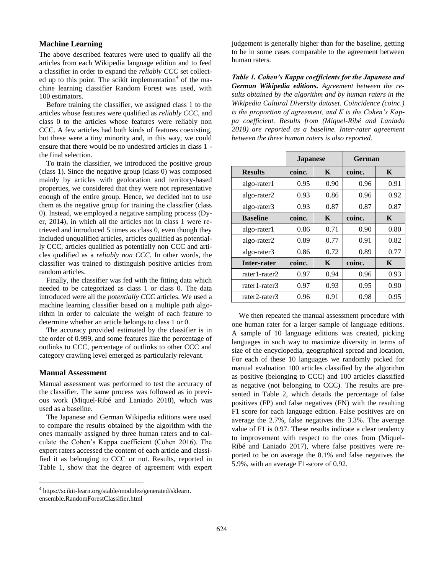# **Machine Learning**

The above described features were used to qualify all the articles from each Wikipedia language edition and to feed a classifier in order to expand the *reliably CCC* set collected up to this point. The scikit implementation<sup>4</sup> of the machine learning classifier Random Forest was used, with 100 estimators.

Before training the classifier, we assigned class 1 to the articles whose features were qualified as *reliably CCC*, and class 0 to the articles whose features were reliably non CCC. A few articles had both kinds of features coexisting, but these were a tiny minority and, in this way, we could ensure that there would be no undesired articles in class 1 the final selection.

To train the classifier, we introduced the positive group (class 1). Since the negative group (class 0) was composed mainly by articles with geolocation and territory-based properties, we considered that they were not representative enough of the entire group. Hence, we decided not to use them as the negative group for training the classifier (class 0). Instead, we employed a negative sampling process (Dyer, 2014), in which all the articles not in class 1 were retrieved and introduced 5 times as class 0, even though they included unqualified articles, articles qualified as potentially CCC, articles qualified as potentially non CCC and articles qualified as a *reliably non CCC*. In other words, the classifier was trained to distinguish positive articles from random articles.

Finally, the classifier was fed with the fitting data which needed to be categorized as class 1 or class 0. The data introduced were all the *potentially CCC* articles. We used a machine learning classifier based on a multiple path algorithm in order to calculate the weight of each feature to determine whether an article belongs to class 1 or 0.

The accuracy provided estimated by the classifier is in the order of 0.999, and some features like the percentage of outlinks to CCC, percentage of outlinks to other CCC and category crawling level emerged as particularly relevant.

#### **Manual Assessment**

 $\overline{a}$ 

Manual assessment was performed to test the accuracy of the classifier. The same process was followed as in previous work (Miquel-Ribé and Laniado 2018), which was used as a baseline.

The Japanese and German Wikipedia editions were used to compare the results obtained by the algorithm with the ones manually assigned by three human raters and to calculate the Cohen's Kappa coefficient (Cohen 2016). The expert raters accessed the content of each article and classified it as belonging to CCC or not. Results, reported in Table 1, show that the degree of agreement with expert

judgement is generally higher than for the baseline, getting to be in some cases comparable to the agreement between human raters.

*Table 1. Cohen's Kappa coefficients for the Japanese and German Wikipedia editions. Agreement between the results obtained by the algorithm and by human raters in the Wikipedia Cultural Diversity dataset. Coincidence (coinc.) is the proportion of agreement, and K is the Cohen's Kappa coefficient. Results from (Miquel-Ribé and Laniado 2018) are reported as a baseline. Inter-rater agreement between the three human raters is also reported.*

|                 | <b>Japanese</b> |      | German |      |  |  |
|-----------------|-----------------|------|--------|------|--|--|
| <b>Results</b>  | coinc.          | K    | coinc. | K    |  |  |
| algo-rater1     | 0.95            | 0.90 | 0.96   | 0.91 |  |  |
| algo-rater2     | 0.93            | 0.86 | 0.96   | 0.92 |  |  |
| algo-rater3     | 0.93            | 0.87 | 0.87   | 0.87 |  |  |
| <b>Baseline</b> | coinc.          | K    | coinc. | K    |  |  |
| algo-rater1     | 0.86            | 0.71 | 0.90   | 0.80 |  |  |
| algo-rater2     | 0.89            | 0.77 | 0.91   | 0.82 |  |  |
| algo-rater3     | 0.86            | 0.72 | 0.89   | 0.77 |  |  |
| Inter-rater     | coinc.          | K    | coinc. | K    |  |  |
| rater1-rater2   | 0.97            | 0.94 | 0.96   | 0.93 |  |  |
| rater1-rater3   | 0.97            | 0.93 | 0.95   | 0.90 |  |  |
| rater2-rater3   | 0.96            | 0.91 | 0.98   | 0.95 |  |  |

We then repeated the manual assessment procedure with one human rater for a larger sample of language editions. A sample of 10 language editions was created, picking languages in such way to maximize diversity in terms of size of the encyclopedia, geographical spread and location. For each of these 10 languages we randomly picked for manual evaluation 100 articles classified by the algorithm as positive (belonging to CCC) and 100 articles classified as negative (not belonging to CCC). The results are presented in Table 2, which details the percentage of false positives (FP) and false negatives (FN) with the resulting F1 score for each language edition. False positives are on average the 2.7%, false negatives the 3.3%. The average value of F1 is 0.97. These results indicate a clear tendency to improvement with respect to the ones from (Miquel-Ribé and Laniado 2017), where false positives were reported to be on average the 8.1% and false negatives the 5.9%, with an average F1-score of 0.92.

<sup>4</sup> https://scikit-learn.org/stable/modules/generated/sklearn. ensemble.RandomForestClassifier.html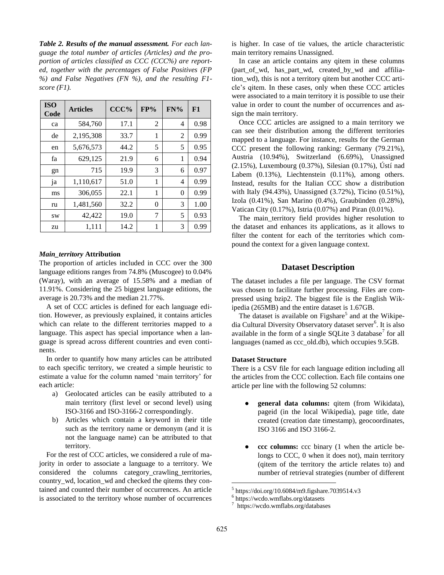*Table 2. Results of the manual assessment. For each language the total number of articles (Articles) and the proportion of articles classified as CCC (CCC%) are reported, together with the percentages of False Positives (FP %) and False Negatives (FN %), and the resulting F1 score (F1).*

| <b>ISO</b><br>Code | <b>Articles</b> | CCC% | FP% | $FN\%$   | F1   |
|--------------------|-----------------|------|-----|----------|------|
| ca                 | 584,760         | 17.1 | 2   | 4        | 0.98 |
| de                 | 2,195,308       | 33.7 | 1   | 2        | 0.99 |
| en                 | 5,676,573       | 44.2 | 5   | 5        | 0.95 |
| fa                 | 629,125         | 21.9 | 6   | 1        | 0.94 |
| gn                 | 715             | 19.9 | 3   | 6        | 0.97 |
| ja                 | 1,110,617       | 51.0 | 1   | 4        | 0.99 |
| ms                 | 306,055         | 22.1 | 1   | $\theta$ | 0.99 |
| ru                 | 1,481,560       | 32.2 | 0   | 3        | 1.00 |
| <b>SW</b>          | 42,422          | 19.0 | 7   | 5        | 0.93 |
| zu                 | 1,111           | 14.2 | 1   | 3        | 0.99 |

## *Main\_territory* **Attribution**

The proportion of articles included in CCC over the 300 language editions ranges from 74.8% (Muscogee) to 0.04% (Waray), with an average of 15.58% and a median of 11.91%. Considering the 25 biggest language editions, the average is 20.73% and the median 21.77%.

A set of CCC articles is defined for each language edition. However, as previously explained, it contains articles which can relate to the different territories mapped to a language. This aspect has special importance when a language is spread across different countries and even continents.

In order to quantify how many articles can be attributed to each specific territory, we created a simple heuristic to estimate a value for the column named 'main territory' for each article:

- a) Geolocated articles can be easily attributed to a main territory (first level or second level) using ISO-3166 and ISO-3166-2 correspondingly.
- b) Articles which contain a keyword in their title such as the territory name or demonym (and it is not the language name) can be attributed to that territory.

For the rest of CCC articles, we considered a rule of majority in order to associate a language to a territory. We considered the columns category\_crawling\_territories, country\_wd, location\_wd and checked the qitems they contained and counted their number of occurrences. An article is associated to the territory whose number of occurrences is higher. In case of tie values, the article characteristic main territory remains Unassigned.

In case an article contains any qitem in these columns (part\_of\_wd, has\_part\_wd, created\_by\_wd and affiliation\_wd), this is not a territory qitem but another CCC article's qitem. In these cases, only when these CCC articles were associated to a main territory it is possible to use their value in order to count the number of occurrences and assign the main territory.

Once CCC articles are assigned to a main territory we can see their distribution among the different territories mapped to a language. For instance, results for the German CCC present the following ranking: Germany (79.21%), Austria (10.94%), Switzerland (6.69%), Unassigned (2.15%), Luxembourg (0.37%), Silesian (0.17%), Ústí nad Labem (0.13%), Liechtenstein (0.11%), among others. Instead, results for the Italian CCC show a distribution with Italy (94.43%), Unassigned (3.72%), Ticino (0.51%), Izola (0.41%), San Marino (0.4%), Graubünden (0.28%), Vatican City (0.17%), Istria (0.07%) and Piran (0.01%).

The main territory field provides higher resolution to the dataset and enhances its applications, as it allows to filter the content for each of the territories which compound the context for a given language context.

# **Dataset Description**

The dataset includes a file per language. The CSV format was chosen to facilitate further processing. Files are compressed using bzip2. The biggest file is the English Wikipedia (265MB) and the entire dataset is 1.67GB.

The dataset is available on Figshare<sup>5</sup> and at the Wikipedia Cultural Diversity Observatory dataset server<sup>6</sup>. It is also available in the form of a single SQLite 3 database<sup>7</sup> for all languages (named as ccc\_old.db), which occupies 9.5GB.

## **Dataset Structure**

There is a CSV file for each language edition including all the articles from the CCC collection. Each file contains one article per line with the following 52 columns:

- **general data columns:** qitem (from Wikidata), pageid (in the local Wikipedia), page title, date created (creation date timestamp), geocoordinates, ISO 3166 and ISO 3166-2.
- **ccc columns:** ccc binary (1 when the article belongs to CCC, 0 when it does not), main territory (qitem of the territory the article relates to) and number of retrieval strategies (number of different

<sup>5</sup> https://doi.org/10.6084/m9.figshare.7039514.v3

<sup>6</sup> https://wcdo.wmflabs.org/datasets

<sup>7</sup> https://wcdo.wmflabs.org/databases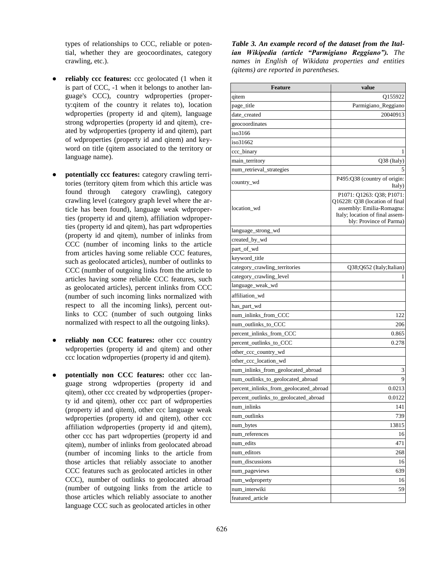types of relationships to CCC, reliable or potential, whether they are geocoordinates, category crawling, etc.).

- reliably ccc features: ccc geolocated (1 when it is part of CCC, -1 when it belongs to another language's CCC), country wdproperties (property:qitem of the country it relates to), location wdproperties (property id and qitem), language strong wdproperties (property id and qitem), created by wdproperties (property id and qitem), part of wdproperties (property id and qitem) and keyword on title (qitem associated to the territory or language name).
- **potentially ccc features:** category crawling territories (territory qitem from which this article was found through category crawling), category crawling level (category graph level where the article has been found), language weak wdproperties (property id and qitem), affiliation wdproperties (property id and qitem), has part wdproperties (property id and qitem), number of inlinks from CCC (number of incoming links to the article from articles having some reliable CCC features, such as geolocated articles), number of outlinks to CCC (number of outgoing links from the article to articles having some reliable CCC features, such as geolocated articles), percent inlinks from CCC (number of such incoming links normalized with respect to all the incoming links), percent outlinks to CCC (number of such outgoing links normalized with respect to all the outgoing links).
- reliably non CCC features: other ccc country wdproperties (property id and qitem) and other ccc location wdproperties (property id and qitem).
- potentially non CCC features: other ccc language strong wdproperties (property id and qitem), other ccc created by wdproperties (property id and qitem), other ccc part of wdproperties (property id and qitem), other ccc language weak wdproperties (property id and qitem), other ccc affiliation wdproperties (property id and qitem), other ccc has part wdproperties (property id and qitem), number of inlinks from geolocated abroad (number of incoming links to the article from those articles that reliably associate to another CCC features such as geolocated articles in other CCC), number of outlinks to geolocated abroad (number of outgoing links from the article to those articles which reliably associate to another language CCC such as geolocated articles in other

*Table 3. An example record of the dataset from the Italian Wikipedia (article "Parmigiano Reggiano"). The names in English of Wikidata properties and entities (qitems) are reported in parentheses.* 

| Feature                                | value                                                                                                                                                  |
|----------------------------------------|--------------------------------------------------------------------------------------------------------------------------------------------------------|
| qitem                                  | Q155922                                                                                                                                                |
| page_title                             | Parmigiano_Reggiano                                                                                                                                    |
| date_created                           | 20040913                                                                                                                                               |
| geocoordinates                         |                                                                                                                                                        |
| iso3166                                |                                                                                                                                                        |
| iso31662                               |                                                                                                                                                        |
| ccc_binary                             | 1                                                                                                                                                      |
| main_territory                         | Q38 (Italy)                                                                                                                                            |
| num_retrieval_strategies               | 5                                                                                                                                                      |
| country_wd                             | P495:Q38 (country of origin:<br>Italy)                                                                                                                 |
| location_wd                            | P1071: Q1263: Q38; P1071:<br>Q16228: Q38 (location of final<br>assembly: Emilia-Romagna:<br>Italy; location of final assem-<br>bly: Province of Parma) |
| language_strong_wd                     |                                                                                                                                                        |
| created_by_wd                          |                                                                                                                                                        |
| part_of_wd                             |                                                                                                                                                        |
| keyword_title                          |                                                                                                                                                        |
| category_crawling_territories          | Q38;Q652 (Italy;Italian)                                                                                                                               |
| category_crawling_level                |                                                                                                                                                        |
| language_weak_wd                       |                                                                                                                                                        |
| affiliation wd                         |                                                                                                                                                        |
| has_part_wd                            |                                                                                                                                                        |
| num_inlinks_from_CCC                   | 122                                                                                                                                                    |
| num_outlinks_to_CCC                    | 206                                                                                                                                                    |
| percent_inlinks_from_CCC               | 0.865                                                                                                                                                  |
| percent_outlinks_to_CCC                | 0.278                                                                                                                                                  |
| other_ccc_country_wd                   |                                                                                                                                                        |
| other_ccc_location_wd                  |                                                                                                                                                        |
| num_inlinks_from_geolocated_abroad     | 3                                                                                                                                                      |
| num_outlinks_to_geolocated_abroad      | 9                                                                                                                                                      |
| percent_inlinks_from_geolocated_abroad | 0.0213                                                                                                                                                 |
| percent_outlinks_to_geolocated_abroad  | 0.0122                                                                                                                                                 |
| num inlinks                            | 141                                                                                                                                                    |
| num_outlinks                           | 739                                                                                                                                                    |
| num_bytes                              | 13815                                                                                                                                                  |
| num_references                         | 16                                                                                                                                                     |
| num_edits                              | 471                                                                                                                                                    |
| num_editors                            | 268                                                                                                                                                    |
| num discussions                        | 16                                                                                                                                                     |
| num_pageviews                          | 639                                                                                                                                                    |
| num_wdproperty                         | 16                                                                                                                                                     |
| num_interwiki                          | 59                                                                                                                                                     |
| featured_article                       |                                                                                                                                                        |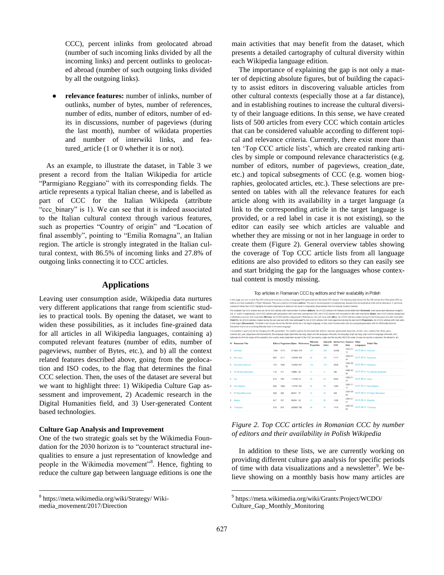CCC), percent inlinks from geolocated abroad (number of such incoming links divided by all the incoming links) and percent outlinks to geolocated abroad (number of such outgoing links divided by all the outgoing links).

relevance features: number of inlinks, number of outlinks, number of bytes, number of references, number of edits, number of editors, number of edits in discussions, number of pageviews (during the last month), number of wikidata properties and number of interwiki links, and featured article (1 or 0 whether it is or not).

As an example, to illustrate the dataset, in Table 3 we present a record from the Italian Wikipedia for article "Parmigiano Reggiano" with its corresponding fields. The article represents a typical Italian cheese, and is labelled as part of CCC for the Italian Wikipeda (attribute "ccc\_binary" is 1). We can see that it is indeed associated to the Italian cultural context through various features, such as properties "Country of origin" and "Location of final assembly", pointing to "Emilia Romagna", an Italian region. The article is strongly integrated in the Italian cultural context, with 86.5% of incoming links and 27.8% of outgoing links connecting it to CCC articles.

# **Applications**

Leaving user consumption aside, Wikipedia data nurtures very different applications that range from scientific studies to practical tools. By opening the dataset, we want to widen these possibilities, as it includes fine-grained data for all articles in all Wikipedia languages, containing a) computed relevant features (number of edits, number of pageviews, number of Bytes, etc.), and b) all the context related features described above, going from the geolocation and ISO codes, to the flag that determines the final CCC selection. Then, the uses of the dataset are several but we want to highlight three: 1) Wikipedia Culture Gap assessment and improvement, 2) Academic research in the Digital Humanities field, and 3) User-generated Content based technologies.

#### **Culture Gap Analysis and Improvement**

One of the two strategic goals set by the Wikimedia Foundation for the 2030 horizon is to "counteract structural inequalities to ensure a just representation of knowledge and people in the Wikimedia movement"<sup>8</sup>. Hence, fighting to reduce the culture gap between language editions is one the

 $\overline{a}$ 

main activities that may benefit from the dataset, which presents a detailed cartography of cultural diversity within each Wikipedia language edition.

The importance of explaining the gap is not only a matter of depicting absolute figures, but of building the capacity to assist editors in discovering valuable articles from other cultural contexts (especially those at a far distance), and in establishing routines to increase the cultural diversity of their language editions. In this sense, we have created lists of 500 articles from every CCC which contain articles that can be considered valuable according to different topical and relevance criteria. Currently, there exist more than ten 'Top CCC article lists', which are created ranking articles by simple or compound relevance characteristics (e.g. number of editors, number of pageviews, creation\_date, etc.) and topical subsegments of CCC (e.g. women biographies, geolocated articles, etc.). These selections are presented on tables with all the relevance features for each article along with its availability in a target language (a link to the corresponding article in the target language is provided, or a red label in case it is not existing), so the editor can easily see which articles are valuable and whether they are missing or not in her language in order to create them (Figure 2). General overview tables showing the coverage of Top CCC article lists from all language editions are also provided to editors so they can easily see and start bridging the gap for the languages whose contextual content is mostly missing.

| Top articles in Romanian CCC by editors and their availability in Polish |  |  |  |
|--------------------------------------------------------------------------|--|--|--|
|--------------------------------------------------------------------------|--|--|--|

| In this page, you can consult Top CCC artilces list from any country or language CCC generated with the latest CCC dataset. The following table shows the Top 500 articles from Romanian CCC by<br>editors and their availability in Polish Wikipedia. They are sorted by the feature editors. The rest of columns present complementary features that are explicative of the article relevance. In particular,<br>number of Inlinks from CCC highlights the article importance in terms of how much is required by other articles from the Cultural Context Content.                                                                                                                                                                                                                                                                                                                                                                                                                                                                                                                                                                   |                            |      |      |            |                                           |                        |                    |                                    |                     |                           |                                    |
|-----------------------------------------------------------------------------------------------------------------------------------------------------------------------------------------------------------------------------------------------------------------------------------------------------------------------------------------------------------------------------------------------------------------------------------------------------------------------------------------------------------------------------------------------------------------------------------------------------------------------------------------------------------------------------------------------------------------------------------------------------------------------------------------------------------------------------------------------------------------------------------------------------------------------------------------------------------------------------------------------------------------------------------------------------------------------------------------------------------------------------------------|----------------------------|------|------|------------|-------------------------------------------|------------------------|--------------------|------------------------------------|---------------------|---------------------------|------------------------------------|
| The available Top CCC articles lists are: list of CCC articles with most number of editors (Editors), list of CCC articles with featured article distinction (Featured), most bytes and references (weights:<br>0.8, 0.1 and 0.1 respectively), list of CCC articles with geolocation with most links coming from CCC, list of CCC articles with keywords on title with most bytes (Bytes), list of CCC articles categorized<br>in Wikidata as women with most edits (Women), list of CCC articles categorized in Wikidata as men with most edits (Men), list of CCC articles created during the first three years and with most edits<br>(First 3Y.). list of CCC articles created during the last year and with most edits Last Y.). list of CCC articles with most pageviews during the last month (Pageviews). list of CCC articles with most edits<br>in talk pages (Discussions). The table's last column shows the title the article has in its target language, in blue when it exists and in red as a proposal generated with the Wikimedia Content<br>Translation tool or as an existing Wikidata label in the same language. |                            |      |      |            |                                           |                        |                    |                                    |                     |                           |                                    |
| It is possible to query any list by changing the URL parameters. You need to specify the list parameter (editors, featured, geolocated, keywords, women, men, created, first, three, years,<br>created. last, year, pageviews and discussions), the language target parameter (as lang, target and the language wikicode), the language origin (as lang, origin and the language wikicode), and,<br>optionally to limit the scope of the selection, the country origin parameter as part of the CCC (as country_origin and the country ISO3166 code). In case no country is selected, the default is 'all'.                                                                                                                                                                                                                                                                                                                                                                                                                                                                                                                             |                            |      |      |            |                                           |                        |                    |                                    |                     |                           |                                    |
|                                                                                                                                                                                                                                                                                                                                                                                                                                                                                                                                                                                                                                                                                                                                                                                                                                                                                                                                                                                                                                                                                                                                         | Nº Romanian Title          |      |      |            | <b>Editors Pageviews Bytes References</b> | Wikidata<br>Properties | Interwiki<br>Links | Inlinks from Creation Other<br>ccc | Date                | Languages                 | Polish Title                       |
|                                                                                                                                                                                                                                                                                                                                                                                                                                                                                                                                                                                                                                                                                                                                                                                                                                                                                                                                                                                                                                                                                                                                         | 1 România                  | 1064 | 4774 | 213456 410 |                                           | 137                    | 298                | 42303                              | $2003 - 07 -$<br>15 | en, fr, de, tu Rumunia    |                                    |
|                                                                                                                                                                                                                                                                                                                                                                                                                                                                                                                                                                                                                                                                                                                                                                                                                                                                                                                                                                                                                                                                                                                                         | 2 Bucuresti                | 802  | 2111 | 167239 193 |                                           | 63                     | 205                | 7117                               | 2003-07-<br>26      | en, fr, de, tu Rukareszt  |                                    |
| 3                                                                                                                                                                                                                                                                                                                                                                                                                                                                                                                                                                                                                                                                                                                                                                                                                                                                                                                                                                                                                                                                                                                                       | Republica Moldova          | 724  | 1503 | 185309 187 |                                           | 123                    | 278                | 4958                               | 2003-08-<br>02      | en. fr. de. ru Moldawia   |                                    |
| 4                                                                                                                                                                                                                                                                                                                                                                                                                                                                                                                                                                                                                                                                                                                                                                                                                                                                                                                                                                                                                                                                                                                                       | <b>FC Dinamo Bucuresti</b> | 712  | 417  | 70889 62   |                                           | 14                     | 41                 | 482                                | 2005-05-<br>05      |                           | en, fr. de, ru FC Dinamo Bukareszt |
| 5                                                                                                                                                                                                                                                                                                                                                                                                                                                                                                                                                                                                                                                                                                                                                                                                                                                                                                                                                                                                                                                                                                                                       | last                       | 613  | 739  | 110146 74  |                                           | 39                     | 94                 | 2043                               | $2004 - 01 -$<br>31 | en. fr. de. na Jassy      |                                    |
| 6                                                                                                                                                                                                                                                                                                                                                                                                                                                                                                                                                                                                                                                                                                                                                                                                                                                                                                                                                                                                                                                                                                                                       | Clui-Napoca                | 606  | 1063 | 115794 107 |                                           | 52                     | 99                 | 1289                               | $2003 - 11 -$<br>11 |                           | en. fr. de. ni Kluż-Napoka         |
| $\overline{7}$                                                                                                                                                                                                                                                                                                                                                                                                                                                                                                                                                                                                                                                                                                                                                                                                                                                                                                                                                                                                                                                                                                                          | <b>FC Rapid Bucuresti</b>  | 568  | 282  | 83241 37   |                                           | 12                     | 33                 | 309                                | 2004-06-<br>05      |                           | en fr. de. tu FC Rapid Bukareszt   |
| 8                                                                                                                                                                                                                                                                                                                                                                                                                                                                                                                                                                                                                                                                                                                                                                                                                                                                                                                                                                                                                                                                                                                                       | <b>Brasov</b>              | 547  | 757  | 93804 62   |                                           | 41                     | $\Omega$           | 1490                               | $2004 - 01 -$<br>31 | en. fr. de. tu Braszów    |                                    |
| $\Omega$                                                                                                                                                                                                                                                                                                                                                                                                                                                                                                                                                                                                                                                                                                                                                                                                                                                                                                                                                                                                                                                                                                                                | Timisoara                  | 519  | 675  | 205305 182 |                                           | 46                     | 94                 | 1410                               | $2004 - 02$<br>02   | en. fr. de. til Timisoara |                                    |
|                                                                                                                                                                                                                                                                                                                                                                                                                                                                                                                                                                                                                                                                                                                                                                                                                                                                                                                                                                                                                                                                                                                                         |                            |      |      |            |                                           |                        |                    |                                    |                     |                           |                                    |

## *Figure 2. Top CCC articles in Romanian CCC by number of editors and their availability in Polish Wikipedia*

In addition to these lists, we are currently working on providing different culture gap analysis for specific periods of time with data visualizations and a newsletter<sup>9</sup>. We believe showing on a monthly basis how many articles are

<sup>8</sup> https://meta.wikimedia.org/wiki/Strategy/ Wikimedia\_movement/2017/Direction

<sup>9</sup> https://meta.wikimedia.org/wiki/Grants:Project/WCDO/ Culture\_Gap\_Monthly\_Monitoring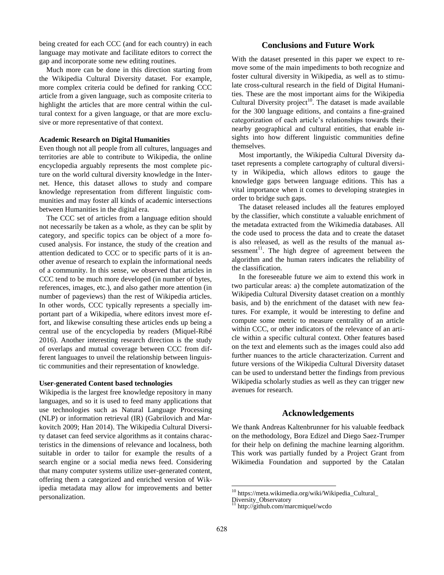being created for each CCC (and for each country) in each language may motivate and facilitate editors to correct the gap and incorporate some new editing routines.

Much more can be done in this direction starting from the Wikipedia Cultural Diversity dataset. For example, more complex criteria could be defined for ranking CCC article from a given language, such as composite criteria to highlight the articles that are more central within the cultural context for a given language, or that are more exclusive or more representative of that context.

## **Academic Research on Digital Humanities**

Even though not all people from all cultures, languages and territories are able to contribute to Wikipedia, the online encyclopedia arguably represents the most complete picture on the world cultural diversity knowledge in the Internet. Hence, this dataset allows to study and compare knowledge representation from different linguistic communities and may foster all kinds of academic intersections between Humanities in the digital era.

The CCC set of articles from a language edition should not necessarily be taken as a whole, as they can be split by category, and specific topics can be object of a more focused analysis. For instance, the study of the creation and attention dedicated to CCC or to specific parts of it is another avenue of research to explain the informational needs of a community. In this sense, we observed that articles in CCC tend to be much more developed (in number of bytes, references, images, etc.), and also gather more attention (in number of pageviews) than the rest of Wikipedia articles. In other words, CCC typically represents a specially important part of a Wikipedia, where editors invest more effort, and likewise consulting these articles ends up being a central use of the encyclopedia by readers (Miquel-Ribé 2016). Another interesting research direction is the study of overlaps and mutual coverage between CCC from different languages to unveil the relationship between linguistic communities and their representation of knowledge.

#### **User-generated Content based technologies**

Wikipedia is the largest free knowledge repository in many languages, and so it is used to feed many applications that use technologies such as Natural Language Processing (NLP) or information retrieval (IR) (Gabrilovich and Markovitch 2009; Han 2014). The Wikipedia Cultural Diversity dataset can feed service algorithms as it contains characteristics in the dimensions of relevance and localness, both suitable in order to tailor for example the results of a search engine or a social media news feed. Considering that many computer systems utilize user-generated content, offering them a categorized and enriched version of Wikipedia metadata may allow for improvements and better personalization.

# **Conclusions and Future Work**

With the dataset presented in this paper we expect to remove some of the main impediments to both recognize and foster cultural diversity in Wikipedia, as well as to stimulate cross-cultural research in the field of Digital Humanities. These are the most important aims for the Wikipedia Cultural Diversity project<sup>10</sup>. The dataset is made available for the 300 language editions, and contains a fine-grained categorization of each article's relationships towards their nearby geographical and cultural entities, that enable insights into how different linguistic communities define themselves.

Most importantly, the Wikipedia Cultural Diversity dataset represents a complete cartography of cultural diversity in Wikipedia, which allows editors to gauge the knowledge gaps between language editions. This has a vital importance when it comes to developing strategies in order to bridge such gaps.

The dataset released includes all the features employed by the classifier, which constitute a valuable enrichment of the metadata extracted from the Wikimedia databases. All the code used to process the data and to create the dataset is also released, as well as the results of the manual assessment<sup>11</sup>. The high degree of agreement between the algorithm and the human raters indicates the reliability of the classification.

In the foreseeable future we aim to extend this work in two particular areas: a) the complete automatization of the Wikipedia Cultural Diversity dataset creation on a monthly basis, and b) the enrichment of the dataset with new features. For example, it would be interesting to define and compute some metric to measure centrality of an article within CCC, or other indicators of the relevance of an article within a specific cultural context. Other features based on the text and elements such as the images could also add further nuances to the article characterization. Current and future versions of the Wikipedia Cultural Diversity dataset can be used to understand better the findings from previous Wikipedia scholarly studies as well as they can trigger new avenues for research.

## **Acknowledgements**

We thank Andreas Kaltenbrunner for his valuable feedback on the methodology, Bora Edizel and Diego Saez-Trumper for their help on defining the machine learning algorithm. This work was partially funded by a Project Grant from Wikimedia Foundation and supported by the Catalan

<sup>&</sup>lt;sup>10</sup> https://meta.wikimedia.org/wiki/Wikipedia\_Cultural\_

Diversity\_Observatory

http://github.com/marcmiquel/wcdo